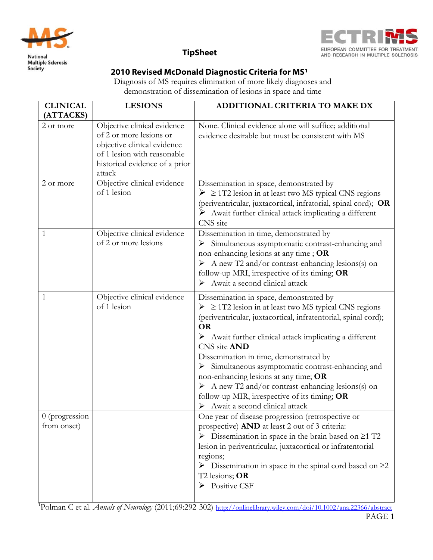



# **TipSheet**

## 2010 Revised McDonald Diagnostic Criteria for MS1

Diagnosis of MS requires elimination of more likely diagnoses and demonstration of dissemination of lesions in space and time

| <b>CLINICAL</b><br>(ATTACKS)  | <b>LESIONS</b>                                                                                                                                                   | ADDITIONAL CRITERIA TO MAKE DX                                                                                                                                                                                                                                                                                                                                                                                                                                                                                                                                                       |
|-------------------------------|------------------------------------------------------------------------------------------------------------------------------------------------------------------|--------------------------------------------------------------------------------------------------------------------------------------------------------------------------------------------------------------------------------------------------------------------------------------------------------------------------------------------------------------------------------------------------------------------------------------------------------------------------------------------------------------------------------------------------------------------------------------|
| 2 or more                     | Objective clinical evidence<br>of 2 or more lesions or<br>objective clinical evidence<br>of 1 lesion with reasonable<br>historical evidence of a prior<br>attack | None. Clinical evidence alone will suffice; additional<br>evidence desirable but must be consistent with MS                                                                                                                                                                                                                                                                                                                                                                                                                                                                          |
| 2 or more                     | Objective clinical evidence<br>of 1 lesion                                                                                                                       | Dissemination in space, demonstrated by<br>$\geq$ 2 1T2 lesion in at least two MS typical CNS regions<br>(periventricular, juxtacortical, infratorial, spinal cord); OR<br>$\triangleright$ Await further clinical attack implicating a different<br>CNS site                                                                                                                                                                                                                                                                                                                        |
| 1                             | Objective clinical evidence<br>of 2 or more lesions                                                                                                              | Dissemination in time, demonstrated by<br>> Simultaneous asymptomatic contrast-enhancing and<br>non-enhancing lesions at any time; OR<br>$\triangleright$ A new T2 and/or contrast-enhancing lesions(s) on<br>follow-up MRI, irrespective of its timing; OR<br>$\triangleright$ Await a second clinical attack                                                                                                                                                                                                                                                                       |
| 1                             | Objective clinical evidence<br>of 1 lesion                                                                                                                       | Dissemination in space, demonstrated by<br>$\geq$ 2 1T2 lesion in at least two MS typical CNS regions<br>(periventricular, juxtacortical, infratentorial, spinal cord);<br><b>OR</b><br>$\triangleright$ Await further clinical attack implicating a different<br>CNS site AND<br>Dissemination in time, demonstrated by<br>> Simultaneous asymptomatic contrast-enhancing and<br>non-enhancing lesions at any time; OR<br>$\triangleright$ A new T2 and/or contrast-enhancing lesions(s) on<br>follow-up MIR, irrespective of its timing; OR<br>Await a second clinical attack<br>➤ |
| 0 (progression<br>from onset) |                                                                                                                                                                  | One year of disease progression (retrospective or<br>prospective) AND at least 2 out of 3 criteria:<br>$\triangleright$ Dissemination in space in the brain based on $\geq 1$ T2<br>lesion in periventricular, juxtacortical or infratentorial<br>regions;<br>$\triangleright$ Dissemination in space in the spinal cord based on $\geq$ 2<br>T2 lesions; OR<br>$\triangleright$ Positive CSF                                                                                                                                                                                        |

<sup>1</sup>Polman C et al. *Annals of Neurology* (2011;69:292-302) http://onlinelibrary.wiley.com/doi/10.1002/ana.22366/abstract